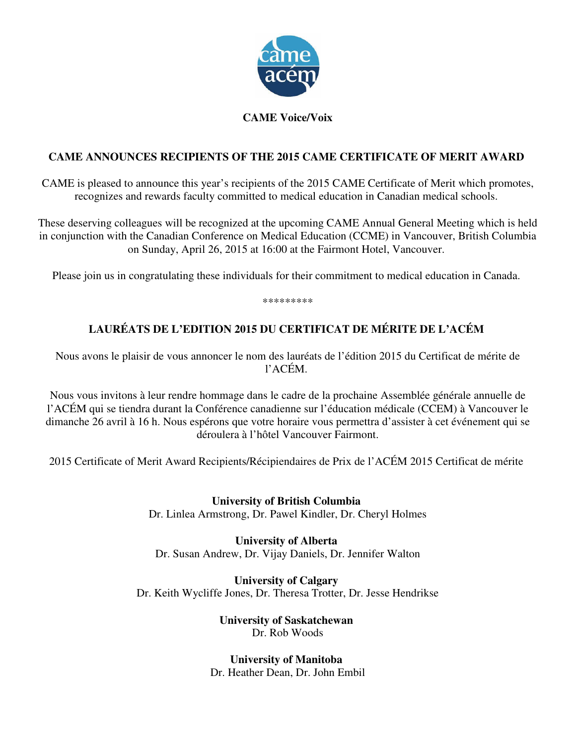

### **CAME Voice/Voix**

## **CAME ANNOUNCES RECIPIENTS OF THE 2015 CAME CERTIFICATE OF MERIT AWARD**

CAME is pleased to announce this year's recipients of the 2015 CAME Certificate of Merit which promotes, recognizes and rewards faculty committed to medical education in Canadian medical schools.

These deserving colleagues will be recognized at the upcoming CAME Annual General Meeting which is held in conjunction with the Canadian Conference on Medical Education (CCME) in Vancouver, British Columbia on Sunday, April 26, 2015 at 16:00 at the Fairmont Hotel, Vancouver.

Please join us in congratulating these individuals for their commitment to medical education in Canada.

\*\*\*\*\*\*\*\*\*

# **LAURÉATS DE L'EDITION 2015 DU CERTIFICAT DE MÉRITE DE L'ACÉM**

Nous avons le plaisir de vous annoncer le nom des lauréats de l'édition 2015 du Certificat de mérite de l'ACÉM.

Nous vous invitons à leur rendre hommage dans le cadre de la prochaine Assemblée générale annuelle de l'ACÉM qui se tiendra durant la Conférence canadienne sur l'éducation médicale (CCEM) à Vancouver le dimanche 26 avril à 16 h. Nous espérons que votre horaire vous permettra d'assister à cet événement qui se déroulera à l'hôtel Vancouver Fairmont.

2015 Certificate of Merit Award Recipients/Récipiendaires de Prix de l'ACÉM 2015 Certificat de mérite

**University of British Columbia**  Dr. Linlea Armstrong, Dr. Pawel Kindler, Dr. Cheryl Holmes

**University of Alberta**  Dr. Susan Andrew, Dr. Vijay Daniels, Dr. Jennifer Walton

**University of Calgary**  Dr. Keith Wycliffe Jones, Dr. Theresa Trotter, Dr. Jesse Hendrikse

> **University of Saskatchewan**  Dr. Rob Woods

**University of Manitoba**  Dr. Heather Dean, Dr. John Embil